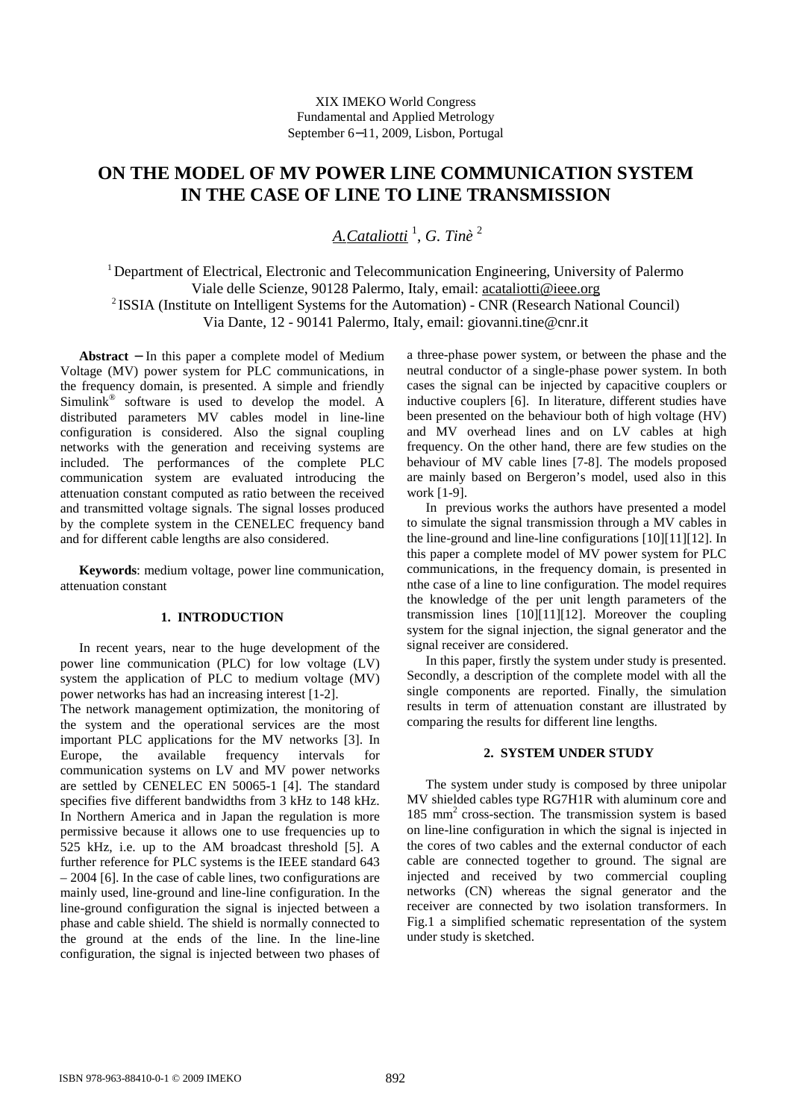# **ON THE MODEL OF MV POWER LINE COMMUNICATION SYSTEM IN THE CASE OF LINE TO LINE TRANSMISSION**

*A.Cataliotti* <sup>1</sup> , *G. Tinè* <sup>2</sup>

<sup>1</sup>Department of Electrical, Electronic and Telecommunication Engineering, University of Palermo Viale delle Scienze, 90128 Palermo, Italy, email: acataliotti@ieee.org <sup>2</sup> ISSIA (Institute on Intelligent Systems for the Automation) - CNR (Research National Council) Via Dante, 12 - 90141 Palermo, Italy, email: giovanni.tine@cnr.it

**Abstract** − In this paper a complete model of Medium Voltage (MV) power system for PLC communications, in the frequency domain, is presented. A simple and friendly Simulink® software is used to develop the model. A distributed parameters MV cables model in line-line configuration is considered. Also the signal coupling networks with the generation and receiving systems are included. The performances of the complete PLC communication system are evaluated introducing the attenuation constant computed as ratio between the received and transmitted voltage signals. The signal losses produced by the complete system in the CENELEC frequency band and for different cable lengths are also considered.

**Keywords**: medium voltage, power line communication, attenuation constant

# **1. INTRODUCTION**

In recent years, near to the huge development of the power line communication (PLC) for low voltage (LV) system the application of PLC to medium voltage (MV) power networks has had an increasing interest [1-2]. The network management optimization, the monitoring of the system and the operational services are the most important PLC applications for the MV networks [3]. In Europe, the available frequency intervals for communication systems on LV and MV power networks are settled by CENELEC EN 50065-1 [4]. The standard specifies five different bandwidths from 3 kHz to 148 kHz. In Northern America and in Japan the regulation is more permissive because it allows one to use frequencies up to 525 kHz, i.e. up to the AM broadcast threshold [5]. A further reference for PLC systems is the IEEE standard 643 – 2004 [6]. In the case of cable lines, two configurations are mainly used, line-ground and line-line configuration. In the line-ground configuration the signal is injected between a phase and cable shield. The shield is normally connected to the ground at the ends of the line. In the line-line configuration, the signal is injected between two phases of a three-phase power system, or between the phase and the neutral conductor of a single-phase power system. In both cases the signal can be injected by capacitive couplers or inductive couplers [6]. In literature, different studies have been presented on the behaviour both of high voltage (HV) and MV overhead lines and on LV cables at high frequency. On the other hand, there are few studies on the behaviour of MV cable lines [7-8]. The models proposed are mainly based on Bergeron's model, used also in this work [1-9].

In previous works the authors have presented a model to simulate the signal transmission through a MV cables in the line-ground and line-line configurations [10][11][12]. In this paper a complete model of MV power system for PLC communications, in the frequency domain, is presented in nthe case of a line to line configuration. The model requires the knowledge of the per unit length parameters of the transmission lines [10][11][12]. Moreover the coupling system for the signal injection, the signal generator and the signal receiver are considered.

In this paper, firstly the system under study is presented. Secondly, a description of the complete model with all the single components are reported. Finally, the simulation results in term of attenuation constant are illustrated by comparing the results for different line lengths.

## **2. SYSTEM UNDER STUDY**

The system under study is composed by three unipolar MV shielded cables type RG7H1R with aluminum core and 185 mm<sup>2</sup> cross-section. The transmission system is based on line-line configuration in which the signal is injected in the cores of two cables and the external conductor of each cable are connected together to ground. The signal are injected and received by two commercial coupling networks (CN) whereas the signal generator and the receiver are connected by two isolation transformers. In Fig.1 a simplified schematic representation of the system under study is sketched.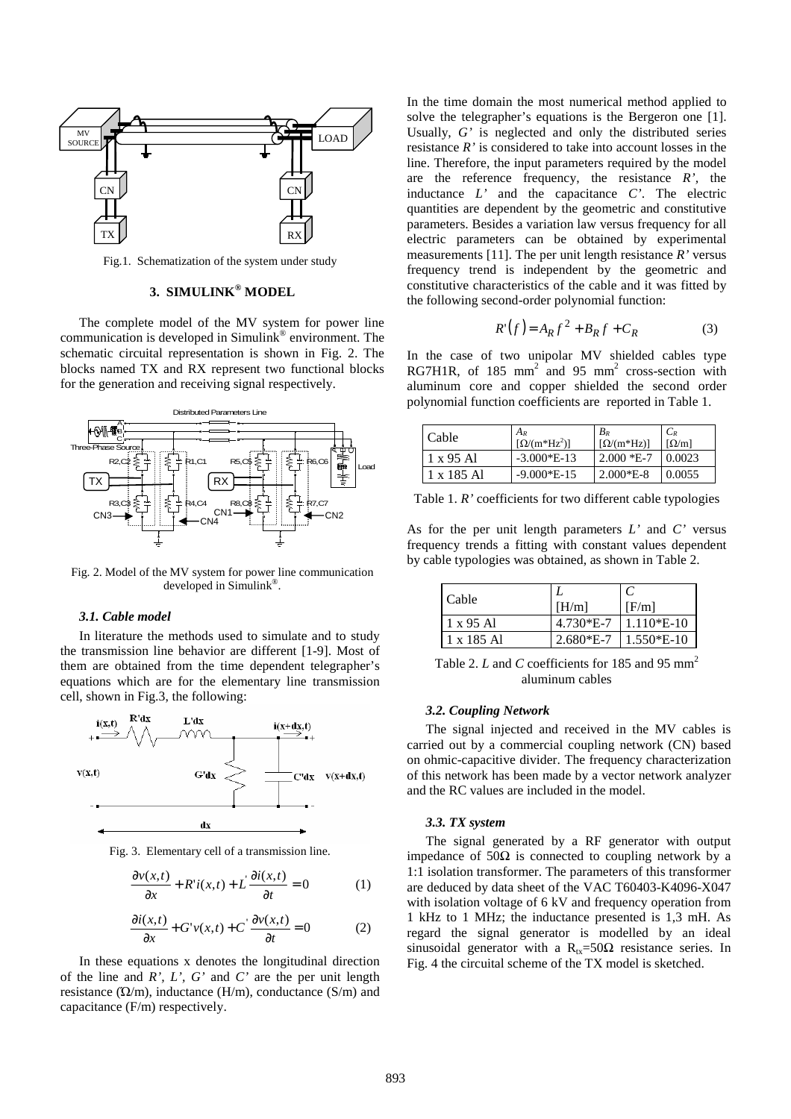

Fig.1. Schematization of the system under study

# **3. SIMULINK® MODEL**

The complete model of the MV system for power line communication is developed in Simulink® environment. The schematic circuital representation is shown in Fig. 2. The blocks named TX and RX represent two functional blocks for the generation and receiving signal respectively.



Fig. 2. Model of the MV system for power line communication developed in Simulink® .

## *3.1. Cable model*

In literature the methods used to simulate and to study the transmission line behavior are different [1-9]. Most of them are obtained from the time dependent telegrapher's equations which are for the elementary line transmission cell, shown in Fig.3, the following:



Fig. 3. Elementary cell of a transmission line.

$$
\frac{\partial v(x,t)}{\partial x} + R' i(x,t) + L' \frac{\partial i(x,t)}{\partial t} = 0
$$
 (1)

$$
\frac{\partial i(x,t)}{\partial x} + G'v(x,t) + C' \frac{\partial v(x,t)}{\partial t} = 0
$$
 (2)

In these equations x denotes the longitudinal direction of the line and *R', L', G'* and *C'* are the per unit length resistance  $(\Omega/m)$ , inductance  $(H/m)$ , conductance  $(S/m)$  and capacitance (F/m) respectively.

In the time domain the most numerical method applied to solve the telegrapher's equations is the Bergeron one [1]. Usually, *G'* is neglected and only the distributed series resistance *R'* is considered to take into account losses in the line. Therefore, the input parameters required by the model are the reference frequency, the resistance *R',* the inductance *L'* and the capacitance *C'*. The electric quantities are dependent by the geometric and constitutive parameters. Besides a variation law versus frequency for all electric parameters can be obtained by experimental measurements [11]. The per unit length resistance *R'* versus frequency trend is independent by the geometric and constitutive characteristics of the cable and it was fitted by the following second-order polynomial function:

$$
R'(f) = A_R f^2 + B_R f + C_R \tag{3}
$$

In the case of two unipolar MV shielded cables type RG7H1R, of 185 mm<sup>2</sup> and 95 mm<sup>2</sup> cross-section with aluminum core and copper shielded the second order polynomial function coefficients are reported in Table 1.

| Cable      | $A_R$<br>$[\Omega/(m^*Hz^2)]$ | $B_R$<br>$[\Omega/(m^*Hz)]$ | $C_R$<br>$\lceil \Omega/m \rceil$ |
|------------|-------------------------------|-----------------------------|-----------------------------------|
| 1 x 95 Al  | $-3.000*E-13$                 | $2.000 *E - 7$              | 0.0023                            |
| 1 x 185 A1 | $-9.000*E-15$                 | $2.000*E-8$                 | 0.0055                            |

Table 1. *R'* coefficients for two different cable typologies

As for the per unit length parameters *L'* and *C'* versus frequency trends a fitting with constant values dependent by cable typologies was obtained, as shown in Table 2.

| Cable             |             |              |
|-------------------|-------------|--------------|
|                   | [H/m]       | [F/m]        |
| 1 x 95 Al         | $4.730*E-7$ | $1.110*E-10$ |
| $1 \times 185$ Al | $2.680*E-7$ | $1.550*E-10$ |

Table 2. *L* and *C* coefficients for 185 and 95 mm<sup>2</sup> aluminum cables

## *3.2. Coupling Network*

The signal injected and received in the MV cables is carried out by a commercial coupling network (CN) based on ohmic-capacitive divider. The frequency characterization of this network has been made by a vector network analyzer and the RC values are included in the model.

# *3.3. TX system*

The signal generated by a RF generator with output impedance of 50Ω is connected to coupling network by a 1:1 isolation transformer. The parameters of this transformer are deduced by data sheet of the VAC T60403-K4096-X047 with isolation voltage of 6 kV and frequency operation from 1 kHz to 1 MHz; the inductance presented is 1,3 mH. As regard the signal generator is modelled by an ideal sinusoidal generator with a  $R_{tx} = 50\Omega$  resistance series. In Fig. 4 the circuital scheme of the TX model is sketched.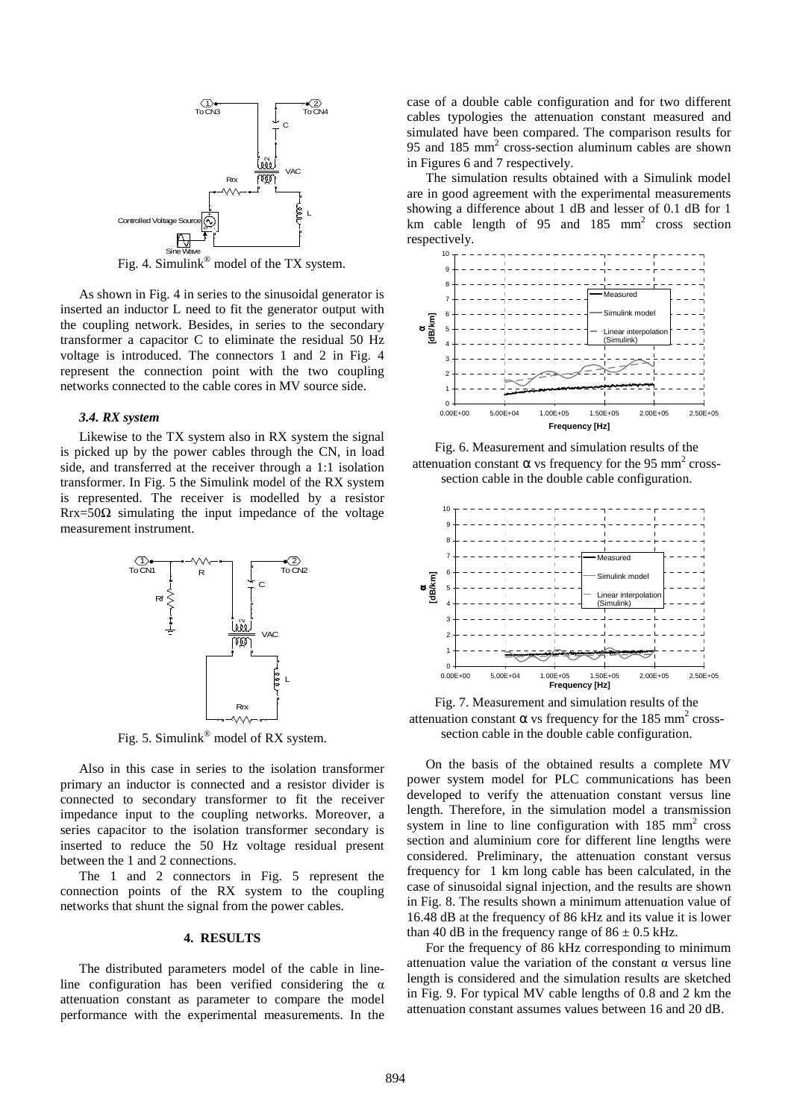

Fig. 4. Simulink<sup>®</sup> model of the TX system.

As shown in Fig. 4 in series to the sinusoidal generator is inserted an inductor L need to fit the generator output with the coupling network. Besides, in series to the secondary transformer a capacitor C to eliminate the residual 50 Hz voltage is introduced. The connectors 1 and 2 in Fig. 4 represent the connection point with the two coupling networks connected to the cable cores in MV source side.

#### *3.4. RX system*

Likewise to the TX system also in RX system the signal is picked up by the power cables through the CN, in load side, and transferred at the receiver through a 1:1 isolation transformer. In Fig. 5 the Simulink model of the RX system is represented. The receiver is modelled by a resistor  $Rrx = 50\Omega$  simulating the input impedance of the voltage measurement instrument.



Fig. 5. Simulink<sup>®</sup> model of RX system.

Also in this case in series to the isolation transformer primary an inductor is connected and a resistor divider is connected to secondary transformer to fit the receiver impedance input to the coupling networks. Moreover, a series capacitor to the isolation transformer secondary is inserted to reduce the 50 Hz voltage residual present between the 1 and 2 connections.

The 1 and 2 connectors in Fig. 5 represent the connection points of the RX system to the coupling networks that shunt the signal from the power cables.

## **4. RESULTS**

The distributed parameters model of the cable in lineline configuration has been verified considering the  $\alpha$ attenuation constant as parameter to compare the model performance with the experimental measurements. In the case of a double cable configuration and for two different cables typologies the attenuation constant measured and simulated have been compared. The comparison results for 95 and 185 mm<sup>2</sup> cross-section aluminum cables are shown in Figures 6 and 7 respectively.

The simulation results obtained with a Simulink model are in good agreement with the experimental measurements showing a difference about 1 dB and lesser of 0.1 dB for 1 km cable length of  $95$  and  $185$  mm<sup>2</sup> cross section respectively.



Fig. 6. Measurement and simulation results of the attenuation constant  $\alpha$  vs frequency for the 95 mm<sup>2</sup> crosssection cable in the double cable configuration.



Fig. 7. Measurement and simulation results of the attenuation constant  $\alpha$  vs frequency for the 185 mm<sup>2</sup> crosssection cable in the double cable configuration.

On the basis of the obtained results a complete MV power system model for PLC communications has been developed to verify the attenuation constant versus line length. Therefore, in the simulation model a transmission system in line to line configuration with  $185 \text{ mm}^2$  cross section and aluminium core for different line lengths were considered. Preliminary, the attenuation constant versus frequency for 1 km long cable has been calculated, in the case of sinusoidal signal injection, and the results are shown in Fig. 8. The results shown a minimum attenuation value of 16.48 dB at the frequency of 86 kHz and its value it is lower than 40 dB in the frequency range of  $86 \pm 0.5$  kHz.

For the frequency of 86 kHz corresponding to minimum attenuation value the variation of the constant  $\alpha$  versus line length is considered and the simulation results are sketched in Fig. 9. For typical MV cable lengths of 0.8 and 2 km the attenuation constant assumes values between 16 and 20 dB.